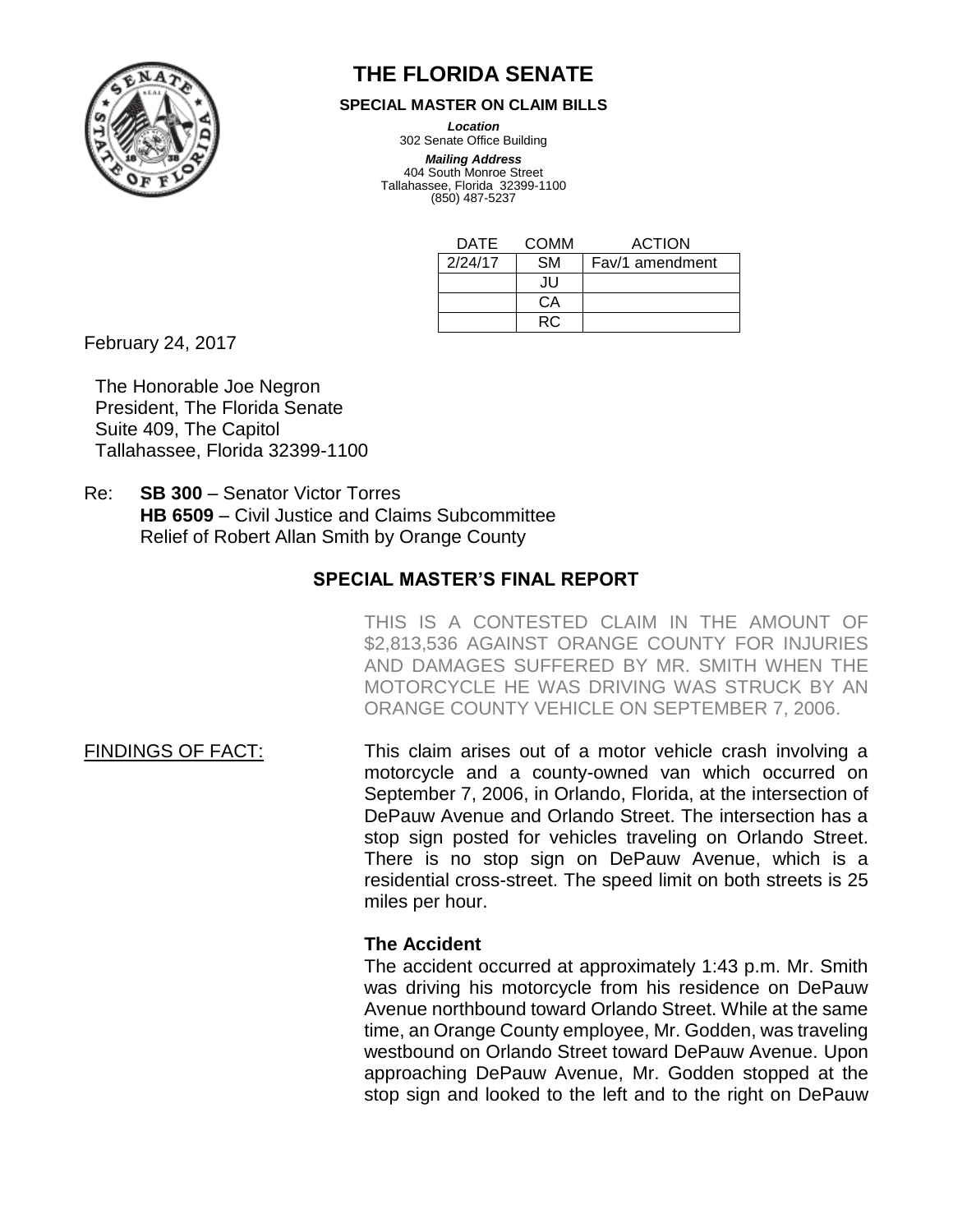

# **THE FLORIDA SENATE**

#### **SPECIAL MASTER ON CLAIM BILLS**

*Location*

302 Senate Office Building *Mailing Address*

404 South Monroe Street Tallahassee, Florida 32399-1100 (850) 487-5237

| DATE    | COMM      | <b>ACTION</b>   |
|---------|-----------|-----------------|
| 2/24/17 | <b>SM</b> | Fav/1 amendment |
|         | .IU       |                 |
|         | CА        |                 |
|         | RC.       |                 |

February 24, 2017

The Honorable Joe Negron President, The Florida Senate Suite 409, The Capitol Tallahassee, Florida 32399-1100

Re: **SB 300** – Senator Victor Torres **HB 6509** – Civil Justice and Claims Subcommittee Relief of Robert Allan Smith by Orange County

# **SPECIAL MASTER'S FINAL REPORT**

THIS IS A CONTESTED CLAIM IN THE AMOUNT OF \$2,813,536 AGAINST ORANGE COUNTY FOR INJURIES AND DAMAGES SUFFERED BY MR. SMITH WHEN THE MOTORCYCLE HE WAS DRIVING WAS STRUCK BY AN ORANGE COUNTY VEHICLE ON SEPTEMBER 7, 2006.

FINDINGS OF FACT: This claim arises out of a motor vehicle crash involving a motorcycle and a county-owned van which occurred on September 7, 2006, in Orlando, Florida, at the intersection of DePauw Avenue and Orlando Street. The intersection has a stop sign posted for vehicles traveling on Orlando Street. There is no stop sign on DePauw Avenue, which is a residential cross-street. The speed limit on both streets is 25 miles per hour.

# **The Accident**

The accident occurred at approximately 1:43 p.m. Mr. Smith was driving his motorcycle from his residence on DePauw Avenue northbound toward Orlando Street. While at the same time, an Orange County employee, Mr. Godden, was traveling westbound on Orlando Street toward DePauw Avenue. Upon approaching DePauw Avenue, Mr. Godden stopped at the stop sign and looked to the left and to the right on DePauw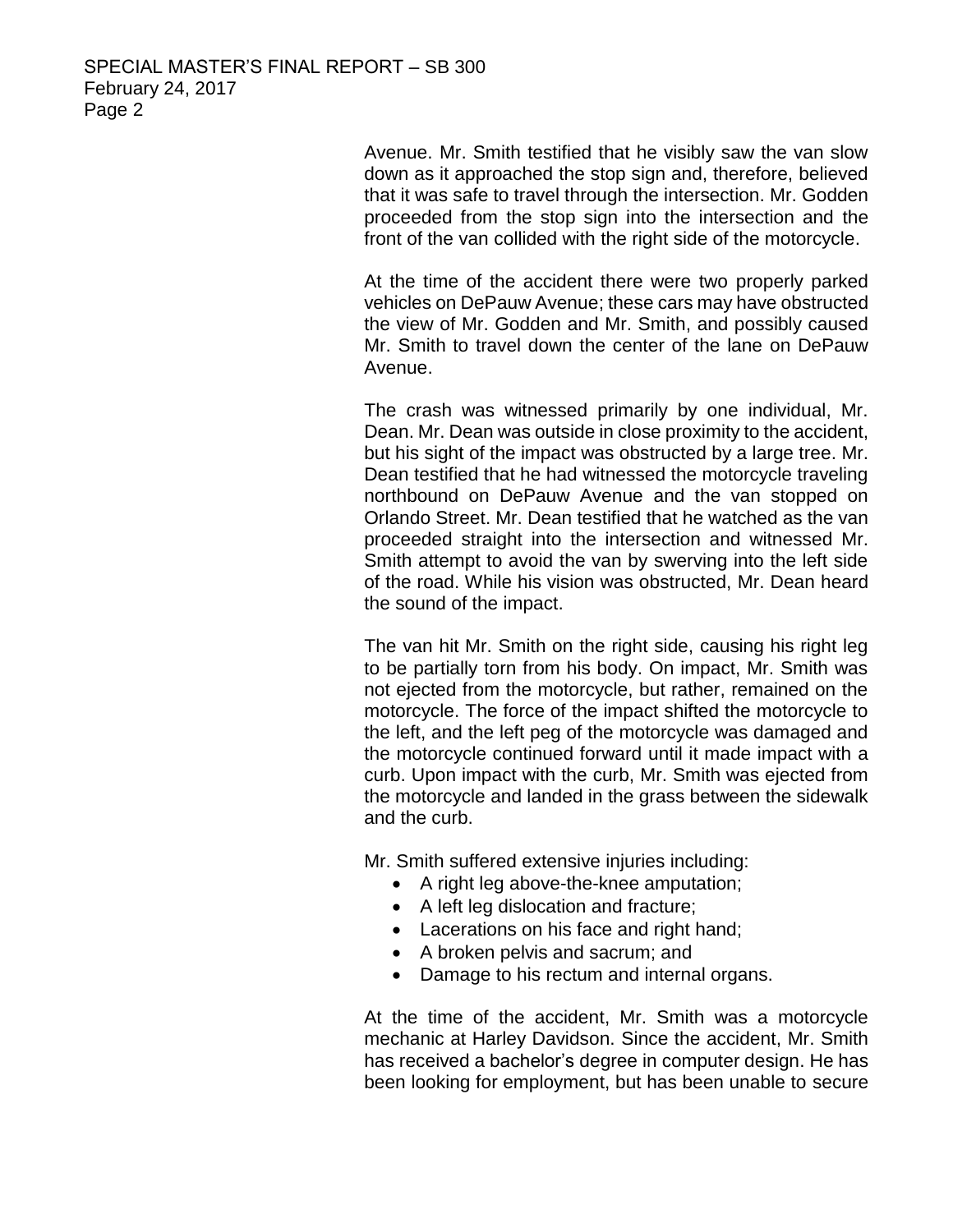Avenue. Mr. Smith testified that he visibly saw the van slow down as it approached the stop sign and, therefore, believed that it was safe to travel through the intersection. Mr. Godden proceeded from the stop sign into the intersection and the front of the van collided with the right side of the motorcycle.

At the time of the accident there were two properly parked vehicles on DePauw Avenue; these cars may have obstructed the view of Mr. Godden and Mr. Smith, and possibly caused Mr. Smith to travel down the center of the lane on DePauw Avenue.

The crash was witnessed primarily by one individual, Mr. Dean. Mr. Dean was outside in close proximity to the accident, but his sight of the impact was obstructed by a large tree. Mr. Dean testified that he had witnessed the motorcycle traveling northbound on DePauw Avenue and the van stopped on Orlando Street. Mr. Dean testified that he watched as the van proceeded straight into the intersection and witnessed Mr. Smith attempt to avoid the van by swerving into the left side of the road. While his vision was obstructed, Mr. Dean heard the sound of the impact.

The van hit Mr. Smith on the right side, causing his right leg to be partially torn from his body. On impact, Mr. Smith was not ejected from the motorcycle, but rather, remained on the motorcycle. The force of the impact shifted the motorcycle to the left, and the left peg of the motorcycle was damaged and the motorcycle continued forward until it made impact with a curb. Upon impact with the curb, Mr. Smith was ejected from the motorcycle and landed in the grass between the sidewalk and the curb.

Mr. Smith suffered extensive injuries including:

- A right leg above-the-knee amputation;
- A left leg dislocation and fracture;
- Lacerations on his face and right hand;
- A broken pelvis and sacrum; and
- Damage to his rectum and internal organs.

At the time of the accident, Mr. Smith was a motorcycle mechanic at Harley Davidson. Since the accident, Mr. Smith has received a bachelor's degree in computer design. He has been looking for employment, but has been unable to secure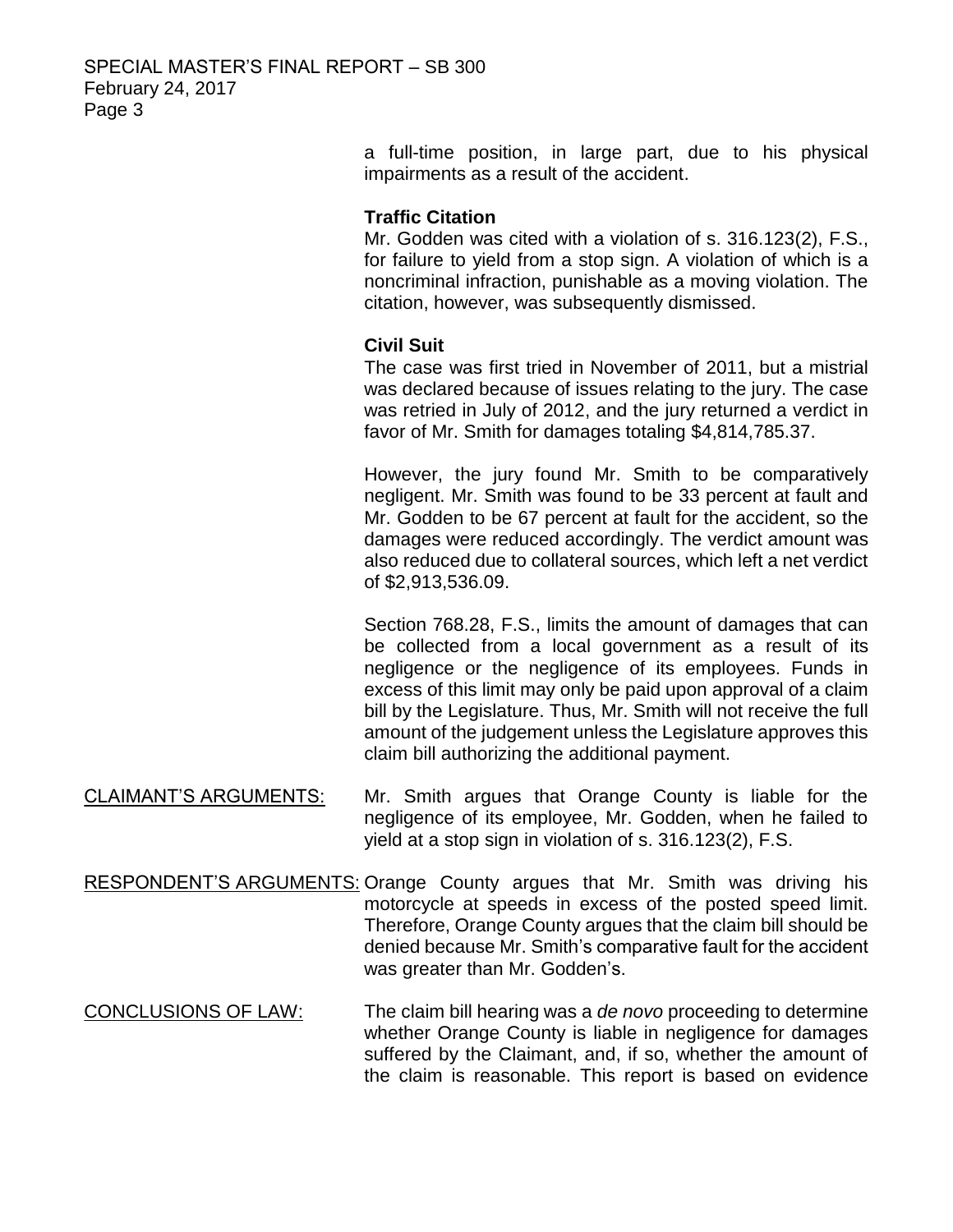a full-time position, in large part, due to his physical impairments as a result of the accident.

## **Traffic Citation**

Mr. Godden was cited with a violation of s. 316.123(2), F.S., for failure to yield from a stop sign. A violation of which is a noncriminal infraction, punishable as a moving violation. The citation, however, was subsequently dismissed.

# **Civil Suit**

The case was first tried in November of 2011, but a mistrial was declared because of issues relating to the jury. The case was retried in July of 2012, and the jury returned a verdict in favor of Mr. Smith for damages totaling \$4,814,785.37.

However, the jury found Mr. Smith to be comparatively negligent. Mr. Smith was found to be 33 percent at fault and Mr. Godden to be 67 percent at fault for the accident, so the damages were reduced accordingly. The verdict amount was also reduced due to collateral sources, which left a net verdict of \$2,913,536.09.

Section 768.28, F.S., limits the amount of damages that can be collected from a local government as a result of its negligence or the negligence of its employees. Funds in excess of this limit may only be paid upon approval of a claim bill by the Legislature. Thus, Mr. Smith will not receive the full amount of the judgement unless the Legislature approves this claim bill authorizing the additional payment.

- CLAIMANT'S ARGUMENTS: Mr. Smith argues that Orange County is liable for the negligence of its employee, Mr. Godden, when he failed to yield at a stop sign in violation of s. 316.123(2), F.S.
- RESPONDENT'S ARGUMENTS: Orange County argues that Mr. Smith was driving his motorcycle at speeds in excess of the posted speed limit. Therefore, Orange County argues that the claim bill should be denied because Mr. Smith's comparative fault for the accident was greater than Mr. Godden's.
- CONCLUSIONS OF LAW: The claim bill hearing was a *de novo* proceeding to determine whether Orange County is liable in negligence for damages suffered by the Claimant, and, if so, whether the amount of the claim is reasonable. This report is based on evidence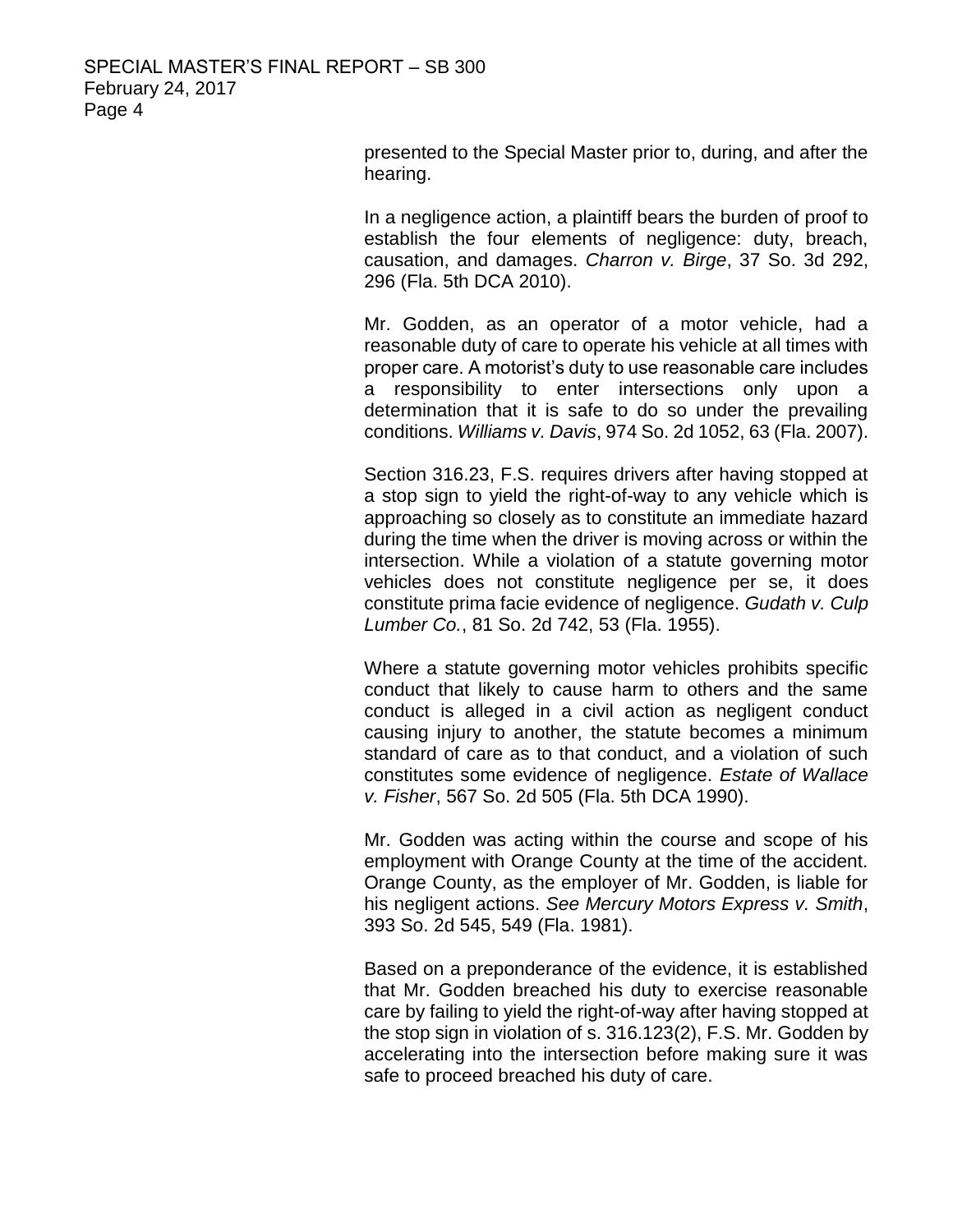presented to the Special Master prior to, during, and after the hearing.

In a negligence action, a plaintiff bears the burden of proof to establish the four elements of negligence: duty, breach, causation, and damages. *Charron v. Birge*, 37 So. 3d 292, 296 (Fla. 5th DCA 2010).

Mr. Godden, as an operator of a motor vehicle, had a reasonable duty of care to operate his vehicle at all times with proper care. A motorist's duty to use reasonable care includes a responsibility to enter intersections only upon a determination that it is safe to do so under the prevailing conditions. *Williams v. Davis*, 974 So. 2d 1052, 63 (Fla. 2007).

Section 316.23, F.S. requires drivers after having stopped at a stop sign to yield the right-of-way to any vehicle which is approaching so closely as to constitute an immediate hazard during the time when the driver is moving across or within the intersection. While a violation of a statute governing motor vehicles does not constitute negligence per se, it does constitute prima facie evidence of negligence. *Gudath v. Culp Lumber Co.*, 81 So. 2d 742, 53 (Fla. 1955).

Where a statute governing motor vehicles prohibits specific conduct that likely to cause harm to others and the same conduct is alleged in a civil action as negligent conduct causing injury to another, the statute becomes a minimum standard of care as to that conduct, and a violation of such constitutes some evidence of negligence. *Estate of Wallace v. Fisher*, 567 So. 2d 505 (Fla. 5th DCA 1990).

Mr. Godden was acting within the course and scope of his employment with Orange County at the time of the accident. Orange County, as the employer of Mr. Godden, is liable for his negligent actions. *See Mercury Motors Express v. Smith*, 393 So. 2d 545, 549 (Fla. 1981).

Based on a preponderance of the evidence, it is established that Mr. Godden breached his duty to exercise reasonable care by failing to yield the right-of-way after having stopped at the stop sign in violation of s. 316.123(2), F.S. Mr. Godden by accelerating into the intersection before making sure it was safe to proceed breached his duty of care.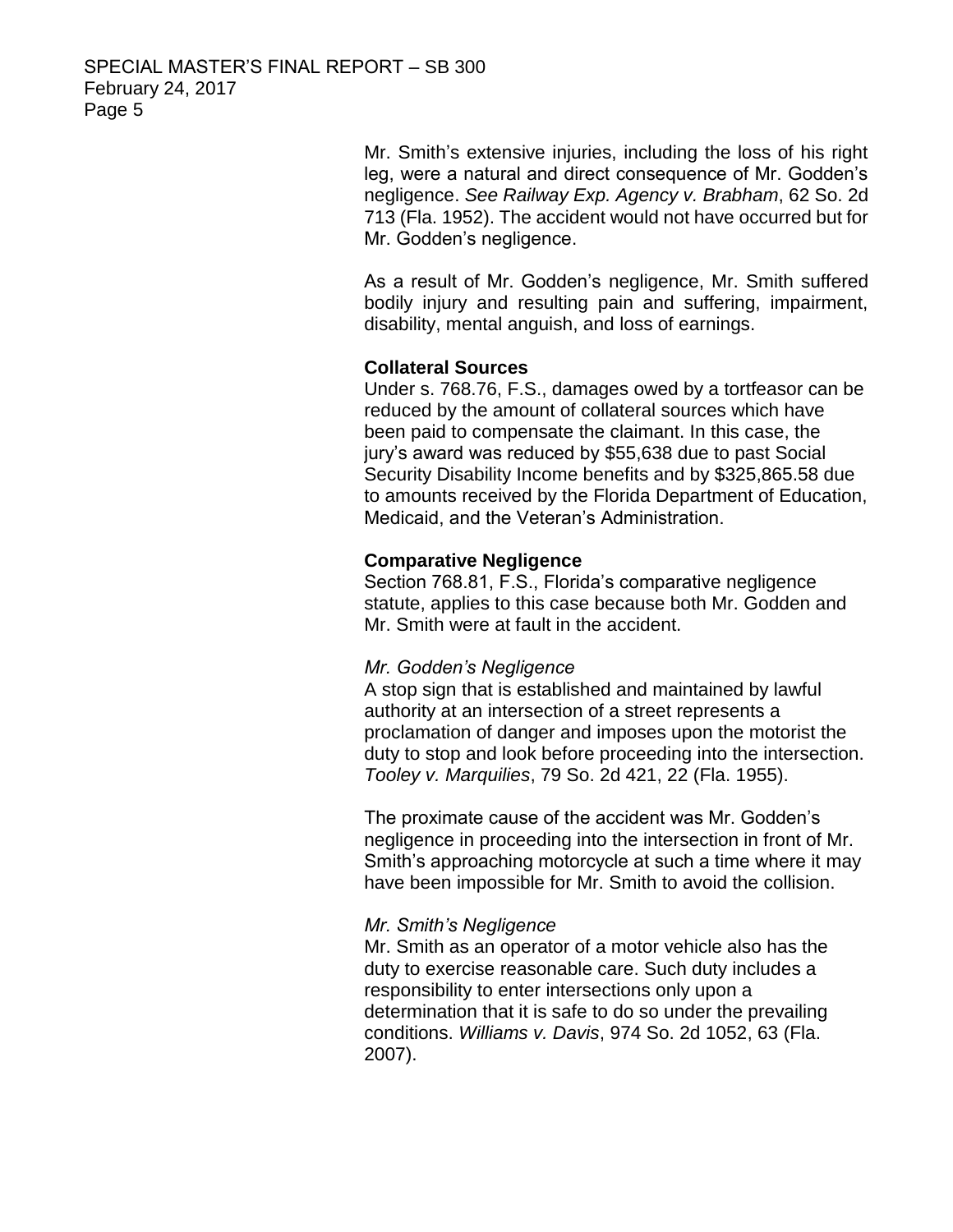Mr. Smith's extensive injuries, including the loss of his right leg, were a natural and direct consequence of Mr. Godden's negligence. *See Railway Exp. Agency v. Brabham*, 62 So. 2d 713 (Fla. 1952). The accident would not have occurred but for Mr. Godden's negligence.

As a result of Mr. Godden's negligence, Mr. Smith suffered bodily injury and resulting pain and suffering, impairment, disability, mental anguish, and loss of earnings.

## **Collateral Sources**

Under s. 768.76, F.S., damages owed by a tortfeasor can be reduced by the amount of collateral sources which have been paid to compensate the claimant. In this case, the jury's award was reduced by \$55,638 due to past Social Security Disability Income benefits and by \$325,865.58 due to amounts received by the Florida Department of Education, Medicaid, and the Veteran's Administration.

## **Comparative Negligence**

Section 768.81, F.S., Florida's comparative negligence statute, applies to this case because both Mr. Godden and Mr. Smith were at fault in the accident.

#### *Mr. Godden's Negligence*

A stop sign that is established and maintained by lawful authority at an intersection of a street represents a proclamation of danger and imposes upon the motorist the duty to stop and look before proceeding into the intersection. *Tooley v. Marquilies*, 79 So. 2d 421, 22 (Fla. 1955).

The proximate cause of the accident was Mr. Godden's negligence in proceeding into the intersection in front of Mr. Smith's approaching motorcycle at such a time where it may have been impossible for Mr. Smith to avoid the collision.

#### *Mr. Smith's Negligence*

Mr. Smith as an operator of a motor vehicle also has the duty to exercise reasonable care. Such duty includes a responsibility to enter intersections only upon a determination that it is safe to do so under the prevailing conditions. *Williams v. Davis*, 974 So. 2d 1052, 63 (Fla. 2007).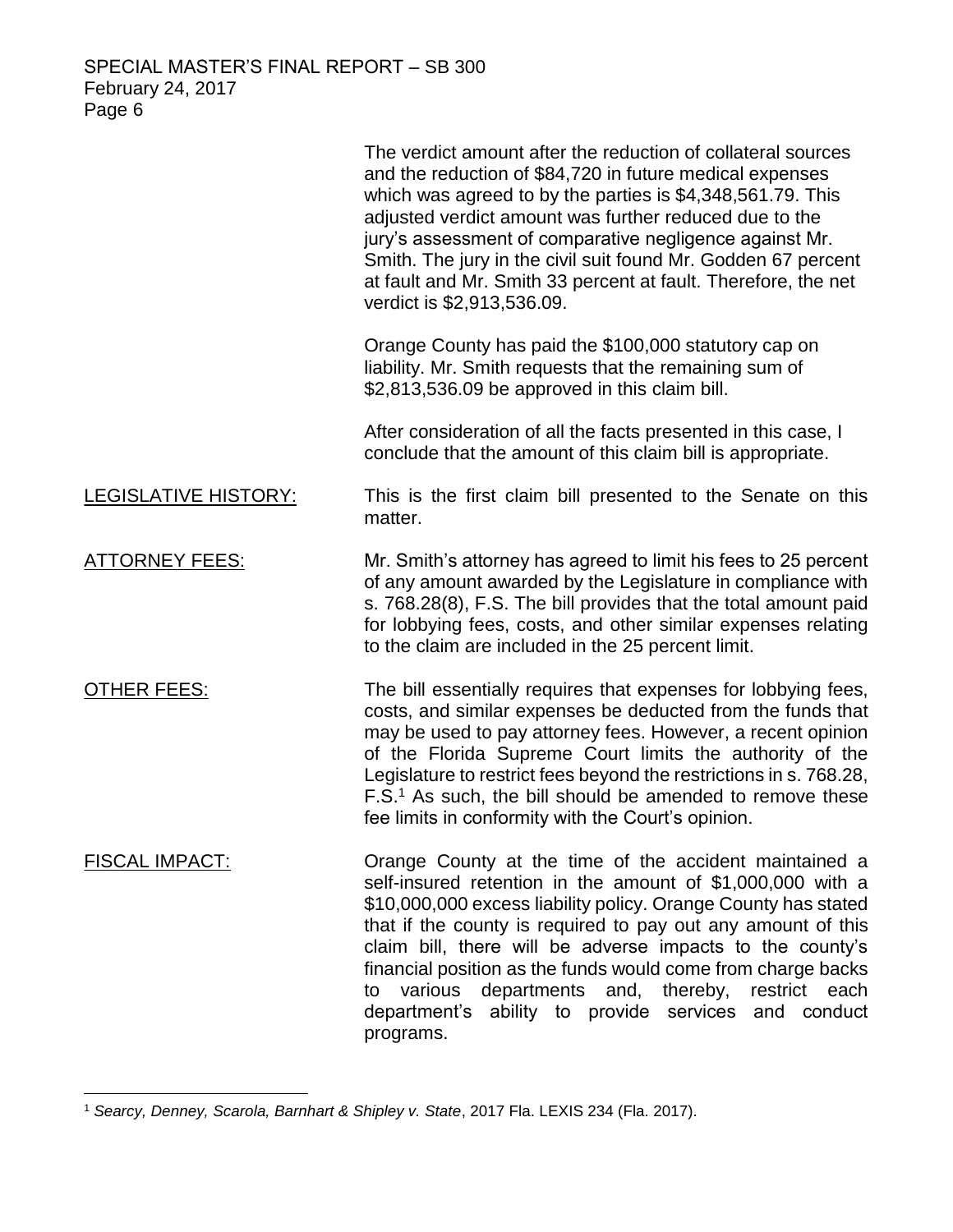|                             | The verdict amount after the reduction of collateral sources<br>and the reduction of \$84,720 in future medical expenses<br>which was agreed to by the parties is \$4,348,561.79. This<br>adjusted verdict amount was further reduced due to the<br>jury's assessment of comparative negligence against Mr.<br>Smith. The jury in the civil suit found Mr. Godden 67 percent<br>at fault and Mr. Smith 33 percent at fault. Therefore, the net<br>verdict is \$2,913,536.09.                                            |
|-----------------------------|-------------------------------------------------------------------------------------------------------------------------------------------------------------------------------------------------------------------------------------------------------------------------------------------------------------------------------------------------------------------------------------------------------------------------------------------------------------------------------------------------------------------------|
|                             | Orange County has paid the \$100,000 statutory cap on<br>liability. Mr. Smith requests that the remaining sum of<br>\$2,813,536.09 be approved in this claim bill.                                                                                                                                                                                                                                                                                                                                                      |
|                             | After consideration of all the facts presented in this case, I<br>conclude that the amount of this claim bill is appropriate.                                                                                                                                                                                                                                                                                                                                                                                           |
| <b>LEGISLATIVE HISTORY:</b> | This is the first claim bill presented to the Senate on this<br>matter.                                                                                                                                                                                                                                                                                                                                                                                                                                                 |
| <b>ATTORNEY FEES:</b>       | Mr. Smith's attorney has agreed to limit his fees to 25 percent<br>of any amount awarded by the Legislature in compliance with<br>s. 768.28(8), F.S. The bill provides that the total amount paid<br>for lobbying fees, costs, and other similar expenses relating<br>to the claim are included in the 25 percent limit.                                                                                                                                                                                                |
| <b>OTHER FEES:</b>          | The bill essentially requires that expenses for lobbying fees,<br>costs, and similar expenses be deducted from the funds that<br>may be used to pay attorney fees. However, a recent opinion<br>of the Florida Supreme Court limits the authority of the<br>Legislature to restrict fees beyond the restrictions in s. 768.28,<br>F.S. <sup>1</sup> As such, the bill should be amended to remove these<br>fee limits in conformity with the Court's opinion.                                                           |
| <b>FISCAL IMPACT:</b>       | Orange County at the time of the accident maintained a<br>self-insured retention in the amount of \$1,000,000 with a<br>\$10,000,000 excess liability policy. Orange County has stated<br>that if the county is required to pay out any amount of this<br>claim bill, there will be adverse impacts to the county's<br>financial position as the funds would come from charge backs<br>departments and, thereby, restrict<br>various<br>each<br>to<br>department's ability to provide services and conduct<br>programs. |

<sup>1</sup> *Searcy, Denney, Scarola, Barnhart & Shipley v. State*, 2017 Fla. LEXIS 234 (Fla. 2017).

 $\overline{a}$